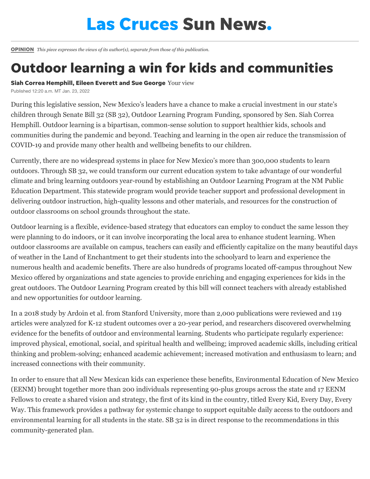## **Las Cruces Sun News.**

[OPINION](https://www.lcsun-news.com/opinion/) *This piece expresses the views of its author(s), separate from those of this publication.*

## Outdoor learning a win for kids and communities

Siah Correa Hemphill, Eileen Everett and Sue George Your view

Published 12:20 a.m. MT Jan. 23, 2022

During this legislative session, New Mexico's leaders have a chance to make a crucial investment in our state's children through Senate Bill 32 (SB 32), Outdoor Learning Program Funding, sponsored by Sen. Siah Correa Hemphill. Outdoor learning is a bipartisan, common-sense solution to support healthier kids, schools and communities during the pandemic and beyond. Teaching and learning in the open air reduce the transmission of COVID-19 and provide many other health and wellbeing benefits to our children.

Currently, there are no widespread systems in place for New Mexico's more than 300,000 students to learn outdoors. Through SB 32, we could transform our current education system to take advantage of our wonderful climate and bring learning outdoors year-round by establishing an Outdoor Learning Program at the NM Public Education Department. This statewide program would provide teacher support and professional development in delivering outdoor instruction, high-quality lessons and other materials, and resources for the construction of outdoor classrooms on school grounds throughout the state.

Outdoor learning is a flexible, evidence-based strategy that educators can employ to conduct the same lesson they were planning to do indoors, or it can involve incorporating the local area to enhance student learning. When outdoor classrooms are available on campus, teachers can easily and efficiently capitalize on the many beautiful days of weather in the Land of Enchantment to get their students into the schoolyard to learn and experience the numerous health and academic benefits. There are also hundreds of programs located off-campus throughout New Mexico offered by organizations and state agencies to provide enriching and engaging experiences for kids in the great outdoors. The Outdoor Learning Program created by this bill will connect teachers with already established and new opportunities for outdoor learning.

In a 2018 study by Ardoin et al. from Stanford University, more than 2,000 publications were reviewed and 119 articles were analyzed for K-12 student outcomes over a 20-year period, and researchers discovered overwhelming evidence for the benefits of outdoor and environmental learning. Students who participate regularly experience: improved physical, emotional, social, and spiritual health and wellbeing; improved academic skills, including critical thinking and problem-solving; enhanced academic achievement; increased motivation and enthusiasm to learn; and increased connections with their community.

In order to ensure that all New Mexican kids can experience these benefits, Environmental Education of New Mexico (EENM) brought together more than 200 individuals representing 90-plus groups across the state and 17 EENM Fellows to create a shared vision and strategy, the first of its kind in the country, titled Every Kid, Every Day, Every Way. This framework provides a pathway for systemic change to support equitable daily access to the outdoors and environmental learning for all students in the state. SB 32 is in direct response to the recommendations in this community-generated plan.